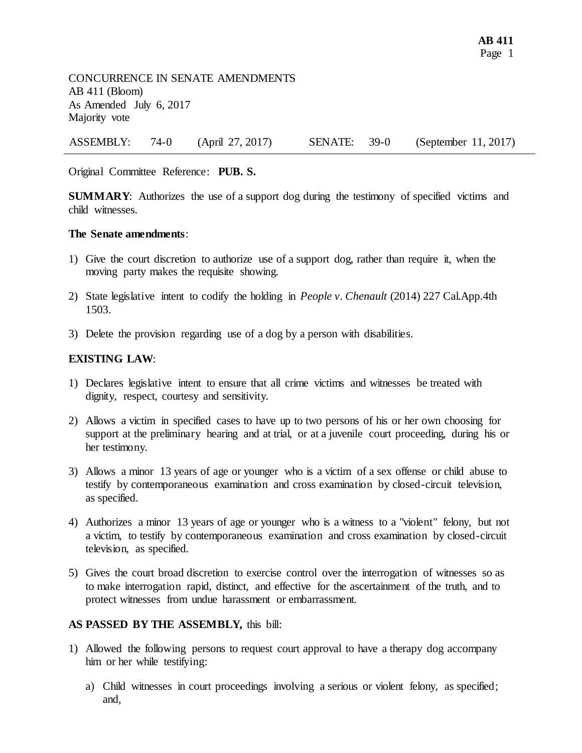CONCURRENCE IN SENATE AMENDMENTS AB 411 (Bloom) As Amended July 6, 2017 Majority vote

ASSEMBLY: 74-0 (April 27, 2017) SENATE: 39-0 (September 11, 2017)

Original Committee Reference: **PUB. S.**

**SUMMARY:** Authorizes the use of a support dog during the testimony of specified victims and child witnesses.

## **The Senate amendments**:

- 1) Give the court discretion to authorize use of a support dog, rather than require it, when the moving party makes the requisite showing.
- 2) State legislative intent to codify the holding in *People v. Chenault* (2014) 227 Cal.App.4th 1503.
- 3) Delete the provision regarding use of a dog by a person with disabilities.

## **EXISTING LAW**:

- 1) Declares legislative intent to ensure that all crime victims and witnesses be treated with dignity, respect, courtesy and sensitivity.
- 2) Allows a victim in specified cases to have up to two persons of his or her own choosing for support at the preliminary hearing and at trial, or at a juvenile court proceeding, during his or her testimony.
- 3) Allows a minor 13 years of age or younger who is a victim of a sex offense or child abuse to testify by contemporaneous examination and cross examination by closed-circuit television, as specified.
- 4) Authorizes a minor 13 years of age or younger who is a witness to a "violent" felony, but not a victim, to testify by contemporaneous examination and cross examination by closed-circuit television, as specified.
- 5) Gives the court broad discretion to exercise control over the interrogation of witnesses so as to make interrogation rapid, distinct, and effective for the ascertainment of the truth, and to protect witnesses from undue harassment or embarrassment.

## **AS PASSED BY THE ASSEMBLY,** this bill:

- 1) Allowed the following persons to request court approval to have a therapy dog accompany him or her while testifying:
	- a) Child witnesses in court proceedings involving a serious or violent felony, as specified; and,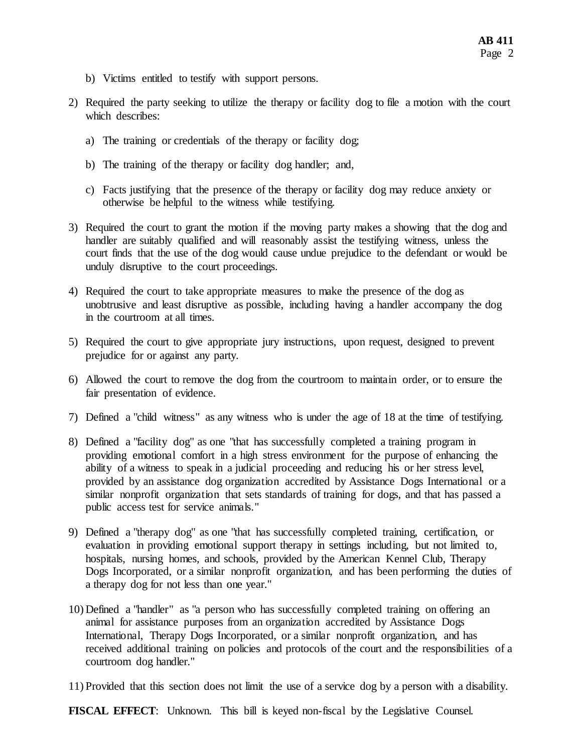- b) Victims entitled to testify with support persons.
- 2) Required the party seeking to utilize the therapy or facility dog to file a motion with the court which describes:
	- a) The training or credentials of the therapy or facility dog;
	- b) The training of the therapy or facility dog handler; and,
	- c) Facts justifying that the presence of the therapy or facility dog may reduce anxiety or otherwise be helpful to the witness while testifying.
- 3) Required the court to grant the motion if the moving party makes a showing that the dog and handler are suitably qualified and will reasonably assist the testifying witness, unless the court finds that the use of the dog would cause undue prejudice to the defendant or would be unduly disruptive to the court proceedings.
- 4) Required the court to take appropriate measures to make the presence of the dog as unobtrusive and least disruptive as possible, including having a handler accompany the dog in the courtroom at all times.
- 5) Required the court to give appropriate jury instructions, upon request, designed to prevent prejudice for or against any party.
- 6) Allowed the court to remove the dog from the courtroom to maintain order, or to ensure the fair presentation of evidence.
- 7) Defined a "child witness" as any witness who is under the age of 18 at the time of testifying.
- 8) Defined a "facility dog" as one "that has successfully completed a training program in providing emotional comfort in a high stress environment for the purpose of enhancing the ability of a witness to speak in a judicial proceeding and reducing his or her stress level, provided by an assistance dog organization accredited by Assistance Dogs International or a similar nonprofit organization that sets standards of training for dogs, and that has passed a public access test for service animals."
- 9) Defined a "therapy dog" as one "that has successfully completed training, certification, or evaluation in providing emotional support therapy in settings including, but not limited to, hospitals, nursing homes, and schools, provided by the American Kennel Club, Therapy Dogs Incorporated, or a similar nonprofit organization, and has been performing the duties of a therapy dog for not less than one year."
- 10) Defined a "handler" as "a person who has successfully completed training on offering an animal for assistance purposes from an organization accredited by Assistance Dogs International, Therapy Dogs Incorporated, or a similar nonprofit organization, and has received additional training on policies and protocols of the court and the responsibilities of a courtroom dog handler."
- 11) Provided that this section does not limit the use of a service dog by a person with a disability.

**FISCAL EFFECT**: Unknown. This bill is keyed non-fiscal by the Legislative Counsel.